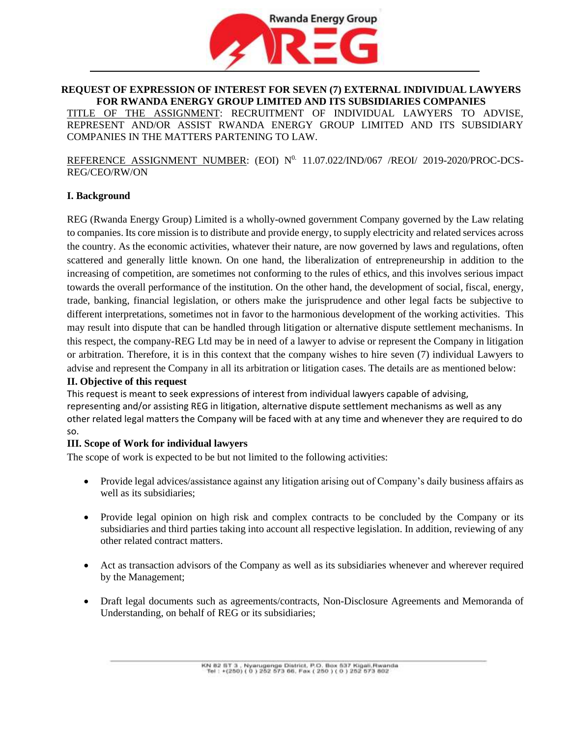

# **REQUEST OF EXPRESSION OF INTEREST FOR SEVEN (7) EXTERNAL INDIVIDUAL LAWYERS FOR RWANDA ENERGY GROUP LIMITED AND ITS SUBSIDIARIES COMPANIES**

TITLE OF THE ASSIGNMENT: RECRUITMENT OF INDIVIDUAL LAWYERS TO ADVISE, REPRESENT AND/OR ASSIST RWANDA ENERGY GROUP LIMITED AND ITS SUBSIDIARY COMPANIES IN THE MATTERS PARTENING TO LAW.

REFERENCE ASSIGNMENT NUMBER: (EOI)  $N^{0}$  11.07.022/IND/067 /REOI/ 2019-2020/PROC-DCS-REG/CEO/RW/ON

### **I. Background**

REG (Rwanda Energy Group) Limited is a wholly-owned government Company governed by the Law relating to companies. Its core mission is to distribute and provide energy, to supply electricity and related services across the country. As the economic activities, whatever their nature, are now governed by laws and regulations, often scattered and generally little known. On one hand, the liberalization of entrepreneurship in addition to the increasing of competition, are sometimes not conforming to the rules of ethics, and this involves serious impact towards the overall performance of the institution. On the other hand, the development of social, fiscal, energy, trade, banking, financial legislation, or others make the jurisprudence and other legal facts be subjective to different interpretations, sometimes not in favor to the harmonious development of the working activities. This may result into dispute that can be handled through litigation or alternative dispute settlement mechanisms. In this respect, the company-REG Ltd may be in need of a lawyer to advise or represent the Company in litigation or arbitration. Therefore, it is in this context that the company wishes to hire seven (7) individual Lawyers to advise and represent the Company in all its arbitration or litigation cases. The details are as mentioned below:

### **II. Objective of this request**

This request is meant to seek expressions of interest from individual lawyers capable of advising, representing and/or assisting REG in litigation, alternative dispute settlement mechanisms as well as any other related legal matters the Company will be faced with at any time and whenever they are required to do so.

### **III. Scope of Work for individual lawyers**

The scope of work is expected to be but not limited to the following activities:

- Provide legal advices/assistance against any litigation arising out of Company's daily business affairs as well as its subsidiaries;
- Provide legal opinion on high risk and complex contracts to be concluded by the Company or its subsidiaries and third parties taking into account all respective legislation. In addition, reviewing of any other related contract matters.
- Act as transaction advisors of the Company as well as its subsidiaries whenever and wherever required by the Management;
- Draft legal documents such as agreements/contracts, Non-Disclosure Agreements and Memoranda of Understanding, on behalf of REG or its subsidiaries;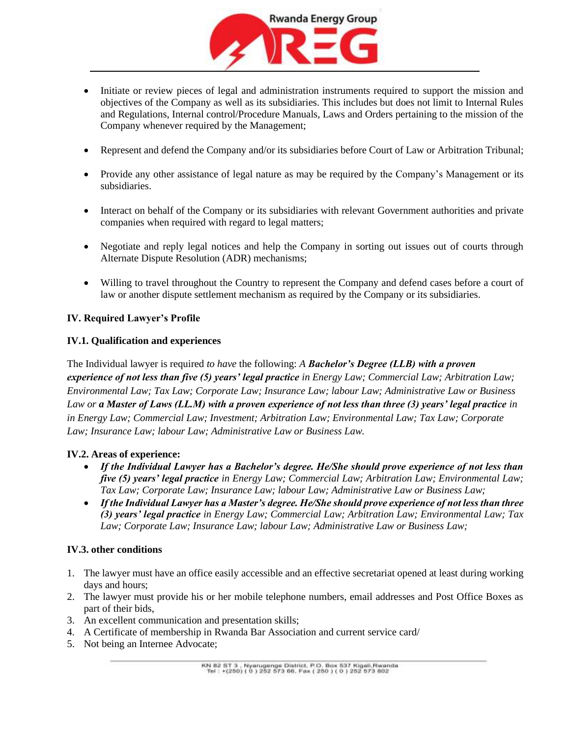

- Initiate or review pieces of legal and administration instruments required to support the mission and objectives of the Company as well as its subsidiaries. This includes but does not limit to Internal Rules and Regulations, Internal control/Procedure Manuals, Laws and Orders pertaining to the mission of the Company whenever required by the Management;
- Represent and defend the Company and/or its subsidiaries before Court of Law or Arbitration Tribunal;
- Provide any other assistance of legal nature as may be required by the Company's Management or its subsidiaries.
- Interact on behalf of the Company or its subsidiaries with relevant Government authorities and private companies when required with regard to legal matters;
- Negotiate and reply legal notices and help the Company in sorting out issues out of courts through Alternate Dispute Resolution (ADR) mechanisms;
- Willing to travel throughout the Country to represent the Company and defend cases before a court of law or another dispute settlement mechanism as required by the Company or its subsidiaries.

# **IV. Required Lawyer's Profile**

## **IV.1. Qualification and experiences**

The Individual lawyer is required *to have* the following: *A Bachelor's Degree (LLB) with a proven experience of not less than five (5) years' legal practice in Energy Law; Commercial Law; Arbitration Law; Environmental Law; Tax Law; Corporate Law; Insurance Law; labour Law; Administrative Law or Business Law or a Master of Laws (LL.M) with a proven experience of not less than three (3) years' legal practice in in Energy Law; Commercial Law; Investment; Arbitration Law; Environmental Law; Tax Law; Corporate Law; Insurance Law; labour Law; Administrative Law or Business Law.*

# **IV.2. Areas of experience:**

- *If the Individual Lawyer has a Bachelor's degree. He/She should prove experience of not less than five (5) years' legal practice in Energy Law; Commercial Law; Arbitration Law; Environmental Law; Tax Law; Corporate Law; Insurance Law; labour Law; Administrative Law or Business Law;*
- *If the Individual Lawyer has a Master's degree. He/She should prove experience of not less than three (3) years' legal practice in Energy Law; Commercial Law; Arbitration Law; Environmental Law; Tax Law; Corporate Law; Insurance Law; labour Law; Administrative Law or Business Law;*

# **IV.3. other conditions**

- 1. The lawyer must have an office easily accessible and an effective secretariat opened at least during working days and hours;
- 2. The lawyer must provide his or her mobile telephone numbers, email addresses and Post Office Boxes as part of their bids,
- 3. An excellent communication and presentation skills;
- 4. A Certificate of membership in Rwanda Bar Association and current service card/
- 5. Not being an Internee Advocate;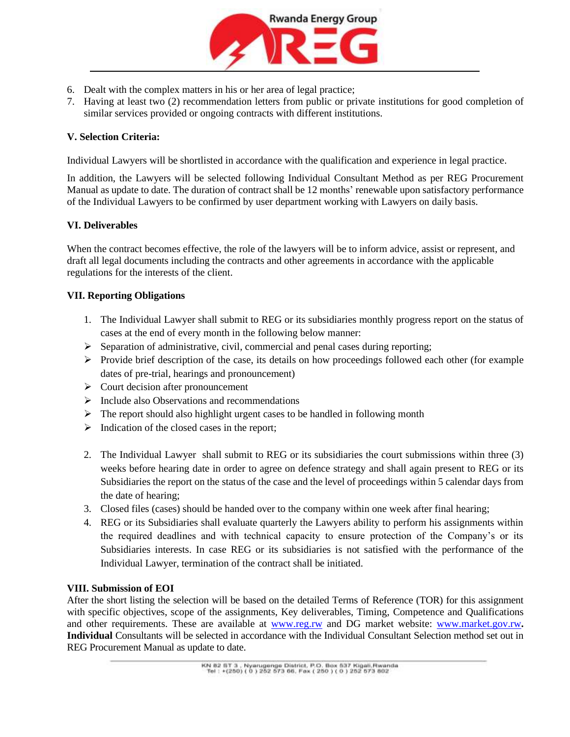

- 6. Dealt with the complex matters in his or her area of legal practice;
- 7. Having at least two (2) recommendation letters from public or private institutions for good completion of similar services provided or ongoing contracts with different institutions.

## **V. Selection Criteria:**

Individual Lawyers will be shortlisted in accordance with the qualification and experience in legal practice.

In addition, the Lawyers will be selected following Individual Consultant Method as per REG Procurement Manual as update to date. The duration of contract shall be 12 months' renewable upon satisfactory performance of the Individual Lawyers to be confirmed by user department working with Lawyers on daily basis.

## **VI. Deliverables**

When the contract becomes effective, the role of the lawyers will be to inform advice, assist or represent, and draft all legal documents including the contracts and other agreements in accordance with the applicable regulations for the interests of the client.

## **VII. Reporting Obligations**

- 1. The Individual Lawyer shall submit to REG or its subsidiaries monthly progress report on the status of cases at the end of every month in the following below manner:
- $\triangleright$  Separation of administrative, civil, commercial and penal cases during reporting;
- $\triangleright$  Provide brief description of the case, its details on how proceedings followed each other (for example dates of pre-trial, hearings and pronouncement)
- ➢ Court decision after pronouncement
- $\triangleright$  Include also Observations and recommendations
- ➢ The report should also highlight urgent cases to be handled in following month
- $\triangleright$  Indication of the closed cases in the report;
- 2. The Individual Lawyer shall submit to REG or its subsidiaries the court submissions within three (3) weeks before hearing date in order to agree on defence strategy and shall again present to REG or its Subsidiaries the report on the status of the case and the level of proceedings within 5 calendar days from the date of hearing;
- 3. Closed files (cases) should be handed over to the company within one week after final hearing;
- 4. REG or its Subsidiaries shall evaluate quarterly the Lawyers ability to perform his assignments within the required deadlines and with technical capacity to ensure protection of the Company's or its Subsidiaries interests. In case REG or its subsidiaries is not satisfied with the performance of the Individual Lawyer, termination of the contract shall be initiated.

### **VIII. Submission of EOI**

After the short listing the selection will be based on the detailed Terms of Reference (TOR) for this assignment with specific objectives, scope of the assignments, Key deliverables, Timing, Competence and Qualifications and other requirements. These are available at **www.reg.rw** and DG market website: **www.market.gov.rw**. **Individual** Consultants will be selected in accordance with the Individual Consultant Selection method set out in REG Procurement Manual as update to date.